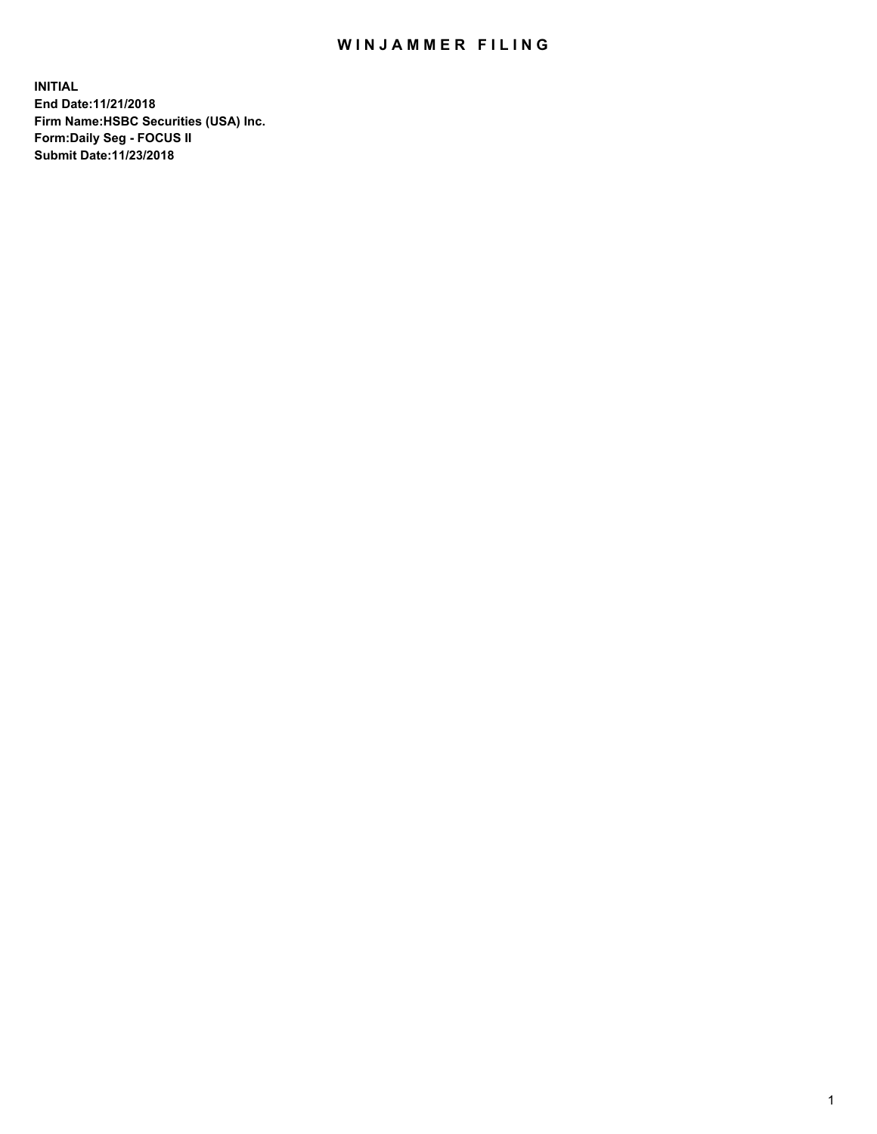## WIN JAMMER FILING

**INITIAL End Date:11/21/2018 Firm Name:HSBC Securities (USA) Inc. Form:Daily Seg - FOCUS II Submit Date:11/23/2018**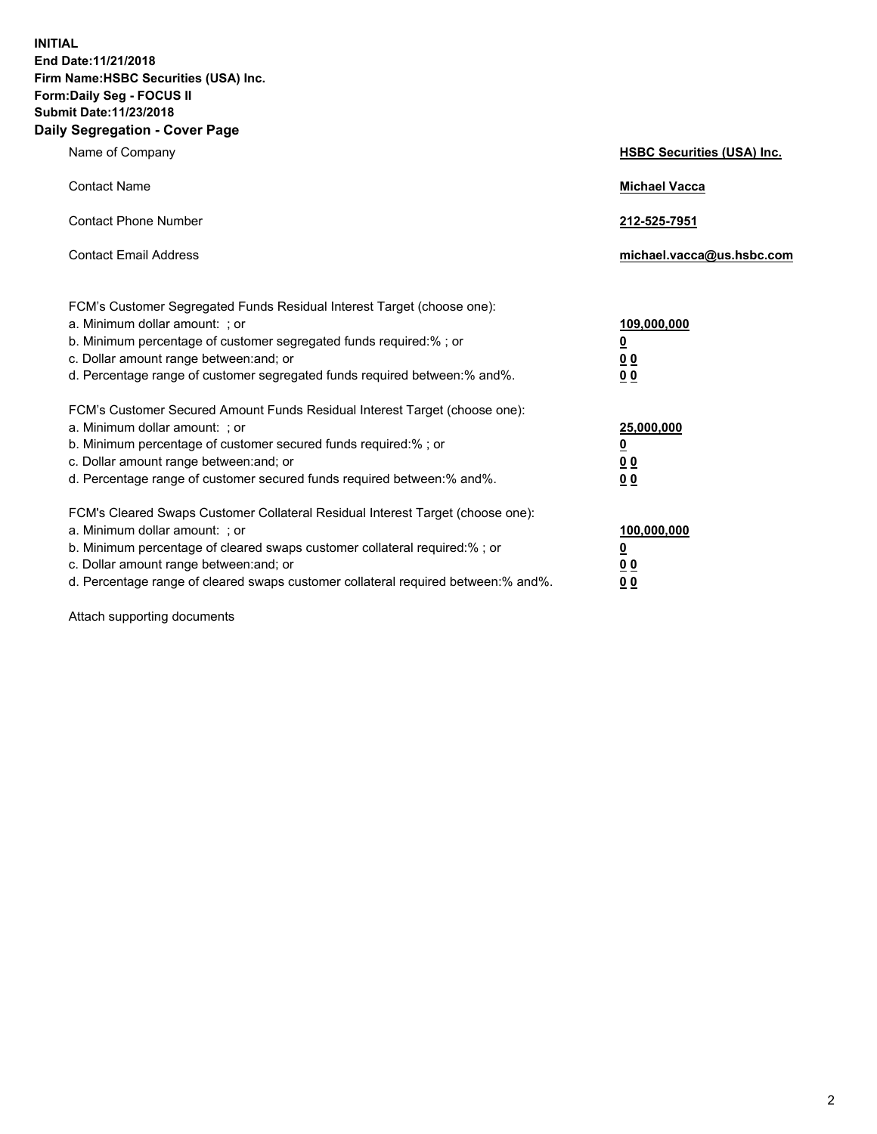**INITIAL End Date:11/21/2018 Firm Name:HSBC Securities (USA) Inc. Form:Daily Seg - FOCUS II Submit Date:11/23/2018 Daily Segregation - Cover Page**

| Name of Company                                                                                                                                                                                                                                                                                                                | <b>HSBC Securities (USA) Inc.</b>                                          |
|--------------------------------------------------------------------------------------------------------------------------------------------------------------------------------------------------------------------------------------------------------------------------------------------------------------------------------|----------------------------------------------------------------------------|
| <b>Contact Name</b>                                                                                                                                                                                                                                                                                                            | <b>Michael Vacca</b>                                                       |
| <b>Contact Phone Number</b>                                                                                                                                                                                                                                                                                                    | 212-525-7951                                                               |
| <b>Contact Email Address</b>                                                                                                                                                                                                                                                                                                   | michael.vacca@us.hsbc.com                                                  |
| FCM's Customer Segregated Funds Residual Interest Target (choose one):<br>a. Minimum dollar amount: : or<br>b. Minimum percentage of customer segregated funds required:% ; or<br>c. Dollar amount range between: and; or<br>d. Percentage range of customer segregated funds required between:% and%.                         | 109,000,000<br>$\overline{\mathbf{0}}$<br>0 <sub>0</sub><br>0 <sub>0</sub> |
| FCM's Customer Secured Amount Funds Residual Interest Target (choose one):<br>a. Minimum dollar amount: ; or<br>b. Minimum percentage of customer secured funds required:%; or<br>c. Dollar amount range between: and; or<br>d. Percentage range of customer secured funds required between:% and%.                            | 25,000,000<br><u>0</u><br>0 <sub>0</sub><br>00                             |
| FCM's Cleared Swaps Customer Collateral Residual Interest Target (choose one):<br>a. Minimum dollar amount: ; or<br>b. Minimum percentage of cleared swaps customer collateral required:% ; or<br>c. Dollar amount range between: and; or<br>d. Percentage range of cleared swaps customer collateral required between:% and%. | 100,000,000<br><u>0</u><br>00<br>0 <sub>0</sub>                            |

Attach supporting documents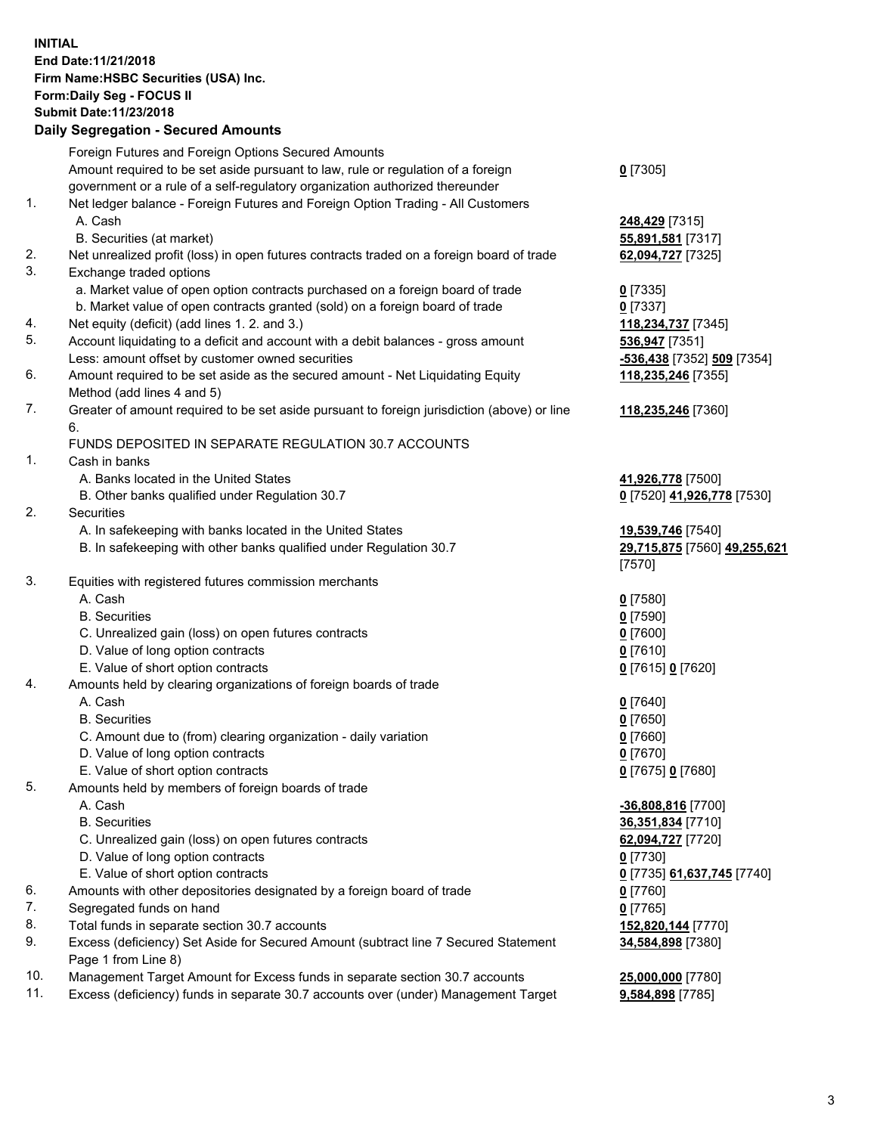**INITIAL End Date:11/21/2018 Firm Name:HSBC Securities (USA) Inc. Form:Daily Seg - FOCUS II Submit Date:11/23/2018 Daily Segregation - Secured Amounts** Foreign Futures and Foreign Options Secured Amounts Amount required to be set aside pursuant to law, rule or regulation of a foreign government or a rule of a self-regulatory organization authorized thereunder **0** [7305] 1. Net ledger balance - Foreign Futures and Foreign Option Trading - All Customers A. Cash **248,429** [7315] B. Securities (at market) **55,891,581** [7317] 2. Net unrealized profit (loss) in open futures contracts traded on a foreign board of trade **62,094,727** [7325] 3. Exchange traded options a. Market value of open option contracts purchased on a foreign board of trade **0** [7335] b. Market value of open contracts granted (sold) on a foreign board of trade **0** [7337] 4. Net equity (deficit) (add lines 1. 2. and 3.) **118,234,737** [7345] 5. Account liquidating to a deficit and account with a debit balances - gross amount **536,947** [7351] Less: amount offset by customer owned securities **-536,438** [7352] **509** [7354] 6. Amount required to be set aside as the secured amount - Net Liquidating Equity Method (add lines 4 and 5) **118,235,246** [7355] 7. Greater of amount required to be set aside pursuant to foreign jurisdiction (above) or line 6. **118,235,246** [7360] FUNDS DEPOSITED IN SEPARATE REGULATION 30.7 ACCOUNTS 1. Cash in banks A. Banks located in the United States **41,926,778** [7500] B. Other banks qualified under Regulation 30.7 **0** [7520] **41,926,778** [7530] 2. Securities A. In safekeeping with banks located in the United States **19,539,746** [7540] B. In safekeeping with other banks qualified under Regulation 30.7 **29,715,875** [7560] **49,255,621** [7570] 3. Equities with registered futures commission merchants A. Cash **0** [7580] B. Securities **0** [7590] C. Unrealized gain (loss) on open futures contracts **0** [7600] D. Value of long option contracts **0** [7610] E. Value of short option contracts **0** [7615] **0** [7620] 4. Amounts held by clearing organizations of foreign boards of trade A. Cash **0** [7640] B. Securities **0** [7650] C. Amount due to (from) clearing organization - daily variation **0** [7660] D. Value of long option contracts **0** [7670]

- E. Value of short option contracts **0** [7675] **0** [7680]
- 5. Amounts held by members of foreign boards of trade
	-
	-
	- C. Unrealized gain (loss) on open futures contracts **62,094,727** [7720]
	- D. Value of long option contracts **0** [7730]
	- E. Value of short option contracts **0** [7735] **61,637,745** [7740]
- 6. Amounts with other depositories designated by a foreign board of trade **0** [7760]
- 7. Segregated funds on hand **0** [7765]
- 8. Total funds in separate section 30.7 accounts **152,820,144** [7770]
- 9. Excess (deficiency) Set Aside for Secured Amount (subtract line 7 Secured Statement Page 1 from Line 8)
- 10. Management Target Amount for Excess funds in separate section 30.7 accounts **25,000,000** [7780]
- 11. Excess (deficiency) funds in separate 30.7 accounts over (under) Management Target **9,584,898** [7785]

 A. Cash **-36,808,816** [7700] B. Securities **36,351,834** [7710] **34,584,898** [7380]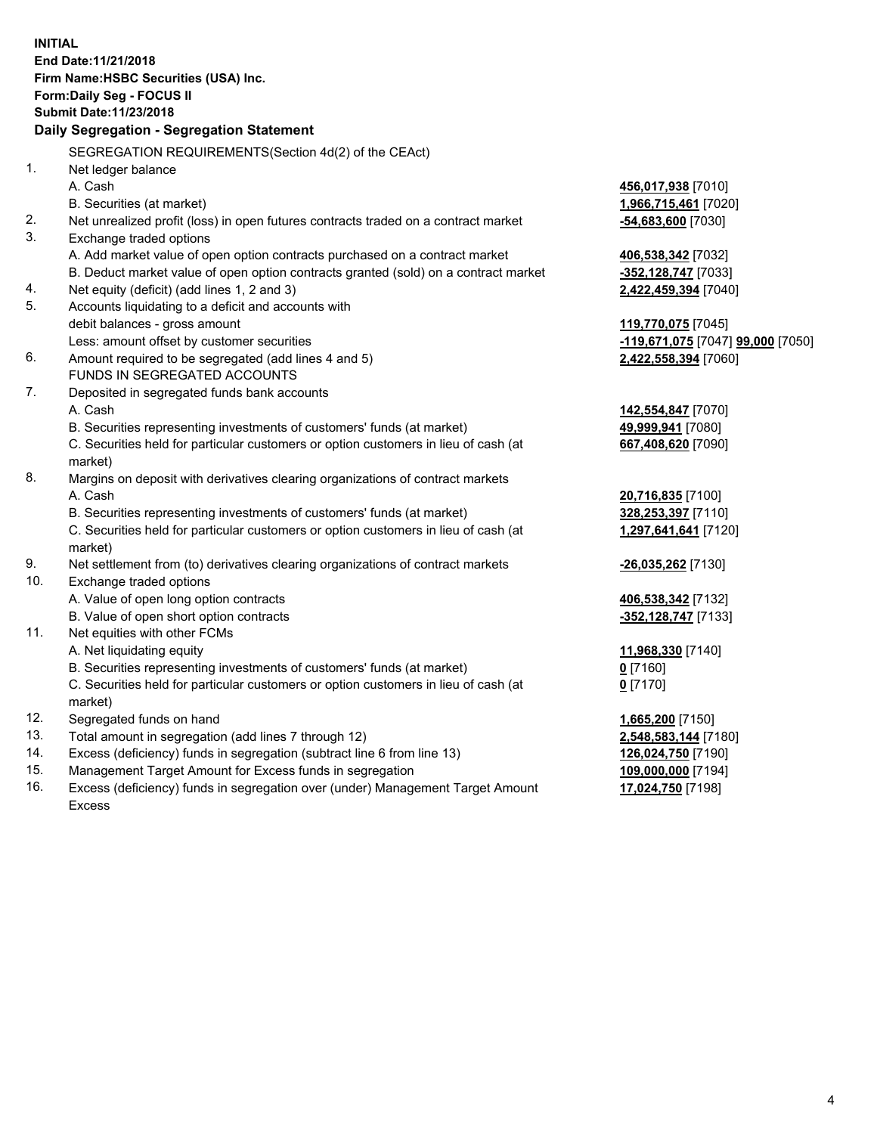|     | <b>INITIAL</b>                                                                                 |                                   |
|-----|------------------------------------------------------------------------------------------------|-----------------------------------|
|     | End Date: 11/21/2018                                                                           |                                   |
|     | Firm Name: HSBC Securities (USA) Inc.                                                          |                                   |
|     | Form: Daily Seg - FOCUS II                                                                     |                                   |
|     | Submit Date: 11/23/2018                                                                        |                                   |
|     | Daily Segregation - Segregation Statement                                                      |                                   |
|     | SEGREGATION REQUIREMENTS (Section 4d(2) of the CEAct)                                          |                                   |
| 1.  | Net ledger balance                                                                             |                                   |
|     | A. Cash                                                                                        | 456,017,938 [7010]                |
|     | B. Securities (at market)                                                                      | 1,966,715,461 [7020]              |
| 2.  | Net unrealized profit (loss) in open futures contracts traded on a contract market             | -54,683,600 [7030]                |
| 3.  | Exchange traded options                                                                        |                                   |
|     | A. Add market value of open option contracts purchased on a contract market                    | 406,538,342 [7032]                |
|     | B. Deduct market value of open option contracts granted (sold) on a contract market            | -352,128,747 [7033]               |
| 4.  | Net equity (deficit) (add lines 1, 2 and 3)                                                    | 2,422,459,394 [7040]              |
| 5.  | Accounts liquidating to a deficit and accounts with                                            |                                   |
|     | debit balances - gross amount                                                                  | 119,770,075 [7045]                |
|     | Less: amount offset by customer securities                                                     | -119,671,075 [7047] 99,000 [7050] |
| 6.  | Amount required to be segregated (add lines 4 and 5)                                           | 2,422,558,394 [7060]              |
|     | FUNDS IN SEGREGATED ACCOUNTS                                                                   |                                   |
| 7.  | Deposited in segregated funds bank accounts                                                    |                                   |
|     | A. Cash                                                                                        | 142,554,847 [7070]                |
|     | B. Securities representing investments of customers' funds (at market)                         | 49,999,941 [7080]                 |
|     | C. Securities held for particular customers or option customers in lieu of cash (at            | 667,408,620 [7090]                |
|     | market)                                                                                        |                                   |
| 8.  | Margins on deposit with derivatives clearing organizations of contract markets                 |                                   |
|     | A. Cash                                                                                        | 20,716,835 [7100]                 |
|     | B. Securities representing investments of customers' funds (at market)                         | 328,253,397 [7110]                |
|     | C. Securities held for particular customers or option customers in lieu of cash (at<br>market) | 1,297,641,641 [7120]              |
| 9.  | Net settlement from (to) derivatives clearing organizations of contract markets                | -26,035,262 [7130]                |
| 10. | Exchange traded options                                                                        |                                   |
|     | A. Value of open long option contracts                                                         | 406,538,342 [7132]                |
|     | B. Value of open short option contracts                                                        | -352,128,747 [7133]               |
| 11. | Net equities with other FCMs                                                                   |                                   |
|     | A. Net liquidating equity                                                                      | 11,968,330 [7140]                 |
|     | B. Securities representing investments of customers' funds (at market)                         | $0$ [7160]                        |
|     | C. Securities held for particular customers or option customers in lieu of cash (at            | $0$ [7170]                        |
|     | market)                                                                                        |                                   |
| 12. | Segregated funds on hand                                                                       | 1,665,200 [7150]                  |
| 13. | Total amount in segregation (add lines 7 through 12)                                           | 2,548,583,144 [7180]              |
| 14. | Excess (deficiency) funds in segregation (subtract line 6 from line 13)                        | 126,024,750 [7190]                |
| 15. | Management Target Amount for Excess funds in segregation                                       | 109,000,000 [7194]                |
| 16. | Excess (deficiency) funds in segregation over (under) Management Target Amount                 | 17,024,750 [7198]                 |

16. Excess (deficiency) funds in segregation over (under) Management Target Amount Excess